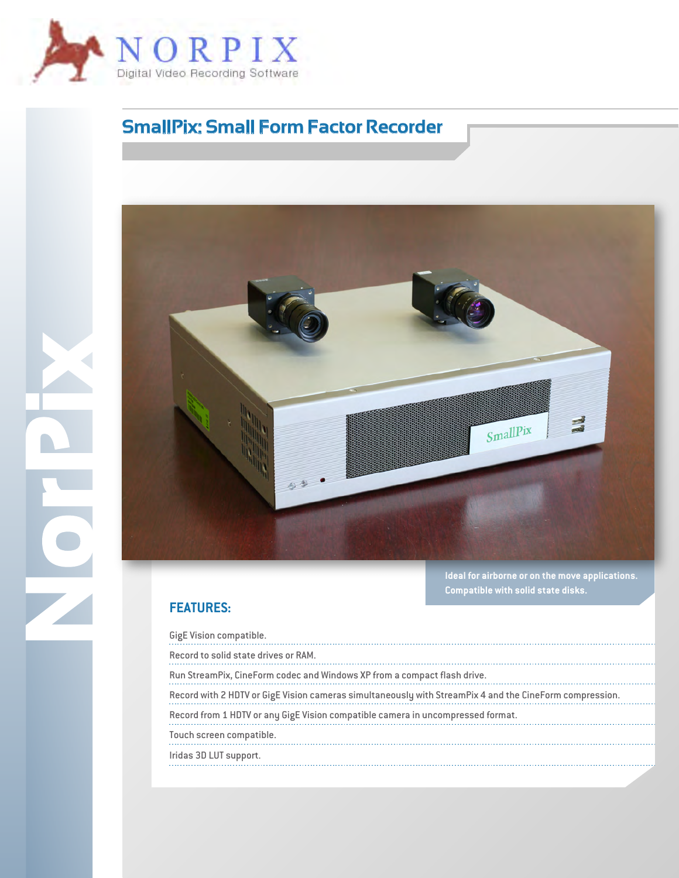

## **SmallPix: Small Form Factor Recorder**



**Ideal for airborne or on the move applications. Compatible with solid state disks.**

## **FEATURES:**

**NorPix**

| GigE Vision compatible.                                                                                 |  |
|---------------------------------------------------------------------------------------------------------|--|
| Record to solid state drives or RAM.                                                                    |  |
| Run StreamPix, CineForm codec and Windows XP from a compact flash drive.                                |  |
| Record with 2 HDTV or GigE Vision cameras simultaneously with StreamPix 4 and the CineForm compression. |  |
| Record from 1 HDTV or any GigE Vision compatible camera in uncompressed format.                         |  |
| Touch screen compatible.                                                                                |  |
| Iridas 3D LUT support.                                                                                  |  |
|                                                                                                         |  |